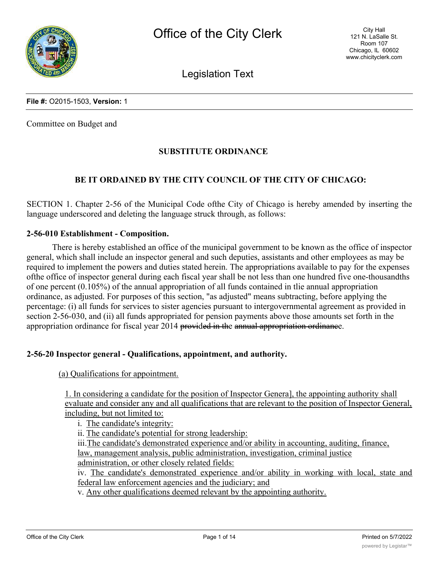

Legislation Text

#### **File #:** O2015-1503, **Version:** 1

Committee on Budget and

#### **SUBSTITUTE ORDINANCE**

#### **BE IT ORDAINED BY THE CITY COUNCIL OF THE CITY OF CHICAGO:**

SECTION 1. Chapter 2-56 of the Municipal Code ofthe City of Chicago is hereby amended by inserting the language underscored and deleting the language struck through, as follows:

#### **2-56-010 Establishment - Composition.**

There is hereby established an office of the municipal government to be known as the office of inspector general, which shall include an inspector general and such deputies, assistants and other employees as may be required to implement the powers and duties stated herein. The appropriations available to pay for the expenses ofthe office of inspector general during each fiscal year shall be not less than one hundred five one-thousandths of one percent (0.105%) of the annual appropriation of all funds contained in tlie annual appropriation ordinance, as adjusted. For purposes of this section, "as adjusted" means subtracting, before applying the percentage: (i) all funds for services to sister agencies pursuant to intergovernmental agreement as provided in section 2-56-030, and (ii) all funds appropriated for pension payments above those amounts set forth in the appropriation ordinance for fiscal year 2014 provided in the annual appropriation ordinance.

#### **2-56-20 Inspector general - Qualifications, appointment, and authority.**

(a) Qualifications for appointment.

1. In considering a candidate for the position of Inspector Genera], the appointing authority shall evaluate and consider any and all qualifications that are relevant to the position of Inspector General, including, but not limited to:

i. The candidate's integrity:

ii. The candidate's potential for strong leadership:

iii.The candidate's demonstrated experience and/or ability in accounting, auditing, finance, law, management analysis, public administration, investigation, criminal justice

administration, or other closely related fields:

iv. The candidate's demonstrated experience and/or ability in working with local, state and federal law enforcement agencies and the judiciary; and

v. Any other qualifications deemed relevant by the appointing authority.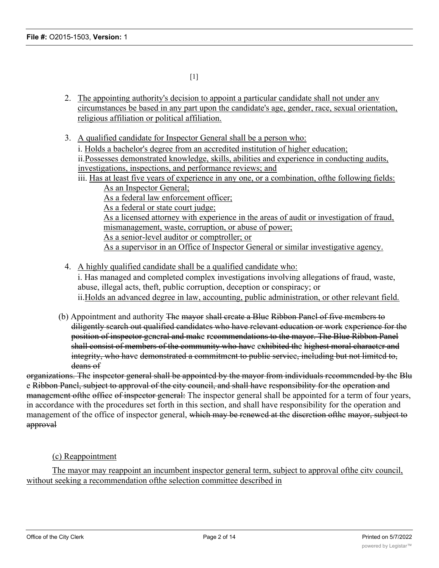- 2. The appointing authority's decision to appoint a particular candidate shall not under any circumstances be based in any part upon the candidate's age, gender, race, sexual orientation, religious affiliation or political affiliation.
- 3. A qualified candidate for Inspector General shall be a person who:

[1]

- i. Holds a bachelor's degree from an accredited institution of higher education; ii.Possesses demonstrated knowledge, skills, abilities and experience in conducting audits, investigations, inspections, and performance reviews; and
- iii. Has at least five years of experience in any one, or a combination, ofthe following fields: As an Inspector General;

As a federal law enforcement officer;

As a federal or state court judge;

As a licensed attorney with experience in the areas of audit or investigation of fraud, mismanagement, waste, corruption, or abuse of power;

As a senior-level auditor or comptroller; or

As a supervisor in an Office of Inspector General or similar investigative agency.

4. A highly qualified candidate shall be a qualified candidate who:

i. Has managed and completed complex investigations involving allegations of fraud, waste, abuse, illegal acts, theft, public corruption, deception or conspiracy; or ii.Holds an advanced degree in law, accounting, public administration, or other relevant field.

(b) Appointment and authority The mayor shall create a Blue Ribbon Panel of five members to diligently search out qualified candidates who have relevant education or work experience for the position of inspector general and make recommendations to the mayor. The Blue Ribbon Panel shall consist of members of the community who have exhibited the highest moral character and integrity, who have demonstrated a commitment to public service, including but not limited to, deans of

organizations. The inspector general shall be appointed by the mayor from individuals recommended by the Blu e Ribbon Panel, subject to approval of the city council, and shall have responsibility for the operation and management of the office of inspector general: The inspector general shall be appointed for a term of four years, in accordance with the procedures set forth in this section, and shall have responsibility for the operation and management of the office of inspector general, which may be renewed at the discretion of the mayor, subject to approval

#### (c) Reappointment

The mayor may reappoint an incumbent inspector general term, subject to approval ofthe citv council, without seeking a recommendation ofthe selection committee described in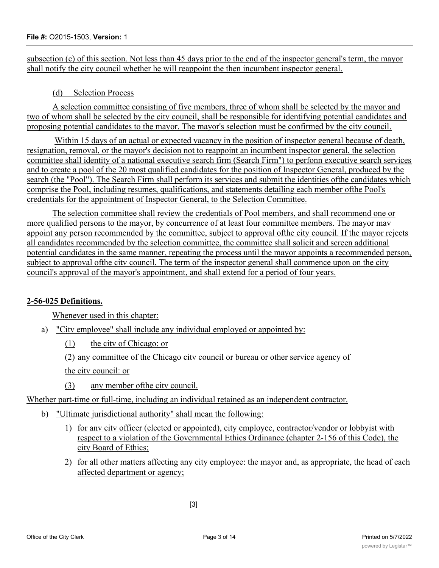# subsection (c) of this section. Not less than 45 days prior to the end of the inspector general's term, the mayor shall notify the city council whether he will reappoint the then incumbent inspector general.

### (d) Selection Process

A selection committee consisting of five members, three of whom shall be selected by the mayor and two of whom shall be selected by the citv council, shall be responsible for identifying potential candidates and proposing potential candidates to the mayor. The mayor's selection must be confirmed by the citv council.

Within 15 days of an actual or expected vacancy in the position of inspector general because of death, resignation, removal, or the mayor's decision not to reappoint an incumbent inspector general, the selection committee shall identity of a national executive search firm (Search Firm") to perfonn executive search services and to create a pool of the 20 most qualified candidates for the position of Inspector General, produced by the search (the "Pool"). The Search Firm shall perform its services and submit the identities ofthe candidates which comprise the Pool, including resumes, qualifications, and statements detailing each member ofthe Pool's credentials for the appointment of Inspector General, to the Selection Committee.

The selection committee shall review the credentials of Pool members, and shall recommend one or more qualified persons to the mayor, by concurrence of at least four committee members. The mayor mav appoint any person recommended by the committee, subject to approval ofthe city council. If the mayor rejects all candidates recommended by the selection committee, the committee shall solicit and screen additional potential candidates in the same manner, repeating the process until the mayor appoints a recommended person, subject to approval ofthe citv council. The term of the inspector general shall commence upon on the city council's approval of the mayor's appointment, and shall extend for a period of four years.

# **2-56-025 Definitions.**

Whenever used in this chapter:

- a) "Citv employee" shall include any individual employed or appointed by:
	- (1) the citv of Chicago: or
	- (2) any committee of the Chicago citv council or bureau or other service agency of the citv council: or
	- (3) any member ofthe citv council.

Whether part-time or full-time, including an individual retained as an independent contractor.

- b) "Ultimate jurisdictional authority" shall mean the following:
	- 1) for anv citv officer (elected or appointed), city employee, contractor/vendor or lobbyist with respect to a violation of the Governmental Ethics Ordinance (chapter 2-156 of this Code), the city Board of Ethics;
	- 2) for all other matters affecting any city employee: the mayor and, as appropriate, the head of each affected department or agency;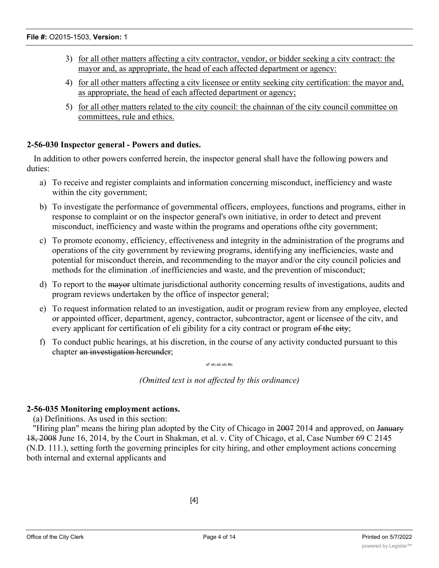- 3) for all other matters affecting a citv contractor, vendor, or bidder seeking a citv contract: the mayor and, as appropriate, the head of each affected department or agency:
- 4) for all other matters affecting a citv licensee or entity seeking city certification: the mayor and, as appropriate, the head of each affected department or agency;
- 5) for all other matters related to the city council: the chainnan of the city council committee on committees, rule and ethics.

# **2-56-030 Inspector general - Powers and duties.**

In addition to other powers conferred herein, the inspector general shall have the following powers and duties:

- a) To receive and register complaints and information concerning misconduct, inefficiency and waste within the city government;
- b) To investigate the performance of governmental officers, employees, functions and programs, either in response to complaint or on the inspector general's own initiative, in order to detect and prevent misconduct, inefficiency and waste within the programs and operations ofthe city government;
- c) To promote economy, efficiency, effectiveness and integrity in the administration of the programs and operations of the city government by reviewing programs, identifying any inefficiencies, waste and potential for misconduct therein, and recommending to the mayor and/or the city council policies and methods for the elimination .of inefficiencies and waste, and the prevention of misconduct;
- d) To report to the mayor ultimate jurisdictional authority concerning results of investigations, audits and program reviews undertaken by the office of inspector general;
- e) To request information related to an investigation, audit or program review from any employee, elected or appointed officer, department, agency, contractor, subcontractor, agent or licensee of the citv, and every applicant for certification of eli gibility for a city contract or program of the eity;
- f) To conduct public hearings, at his discretion, in the course of any activity conducted pursuant to this chapter an investigation hereunder;

sf\* sfc sfc sfc #fc

*(Omitted text is not affected by this ordinance)*

# **2-56-035 Monitoring employment actions.**

(a) Definitions. As used in this section:

"Hiring plan" means the hiring plan adopted by the City of Chicago in 2007 2014 and approved, on January 18, 2008 June 16, 2014, by the Court in Shakman, et al. v. City of Chicago, et al, Case Number 69 C 2145 (N.D. 111.), setting forth the governing principles for city hiring, and other employment actions concerning both internal and external applicants and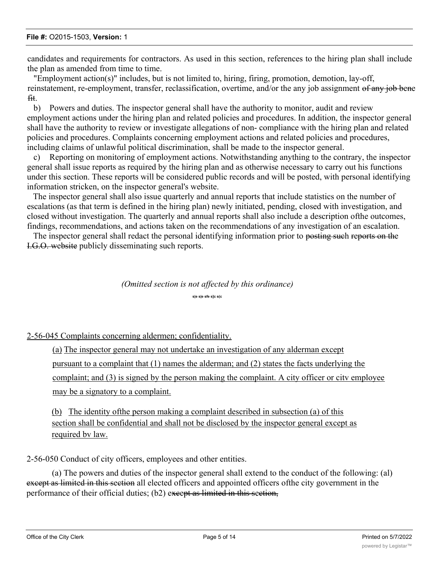candidates and requirements for contractors. As used in this section, references to the hiring plan shall include the plan as amended from time to time.

"Employment action(s)" includes, but is not limited to, hiring, firing, promotion, demotion, lay-off, reinstatement, re-employment, transfer, reclassification, overtime, and/or the any job assignment of any job bene fit.

b) Powers and duties. The inspector general shall have the authority to monitor, audit and review employment actions under the hiring plan and related policies and procedures. In addition, the inspector general shall have the authority to review or investigate allegations of non- compliance with the hiring plan and related policies and procedures. Complaints concerning employment actions and related policies and procedures, including claims of unlawful political discrimination, shall be made to the inspector general.

c) Reporting on monitoring of employment actions. Notwithstanding anything to the contrary, the inspector general shall issue reports as required by the hiring plan and as otherwise necessary to carry out his functions under this section. These reports will be considered public records and will be posted, with personal identifying information stricken, on the inspector general's website.

The inspector general shall also issue quarterly and annual reports that include statistics on the number of escalations (as that term is defined in the hiring plan) newly initiated, pending, closed with investigation, and closed without investigation. The quarterly and annual reports shall also include a description ofthe outcomes, findings, recommendations, and actions taken on the recommendations of any investigation of an escalation.

The inspector general shall redact the personal identifying information prior to posting such reports on the I.G.O. website publicly disseminating such reports.

# *(Omitted section is not affected by this ordinance)* **s|e s|e sfe s]c s(c**

#### 2-56-045 Complaints concerning aldermen; confidentiality.

(a) The inspector general may not undertake an investigation of any alderman except pursuant to a complaint that (1) names the alderman; and (2) states the facts underlying the complaint; and (3) is signed by the person making the complaint. A city officer or citv employee may be a signatory to a complaint.

(b) The identity ofthe person making a complaint described in subsection (a) of this section shall be confidential and shall not be disclosed by the inspector general except as required bv law.

2-56-050 Conduct of city officers, employees and other entities.

(a) The powers and duties of the inspector general shall extend to the conduct of the following: (al) except as limited in this section all elected officers and appointed officers of the city government in the performance of their official duties; (b2) except as limited in this section,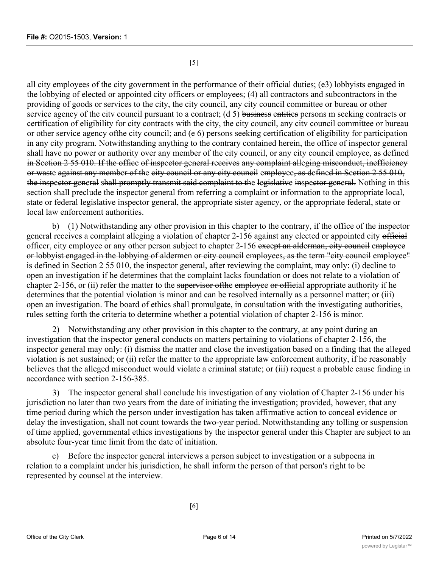[5]

all city employees of the city government in the performance of their official duties; (e3) lobbyists engaged in the lobbying of elected or appointed city officers or employees; (4) all contractors and subcontractors in the providing of goods or services to the city, the city council, any city council committee or bureau or other service agency of the city council pursuant to a contract; (d 5) business entities persons m seeking contracts or certification of eligibility for city contracts with the city, the city council, any citv council committee or bureau or other service agency ofthe city council; and (e 6) persons seeking certification of eligibility for participation in any city program. Notwithstanding anything to the contrary contained herein, the office of inspector general shall have no power or authority over any member of the city council, or any city council employee, as defined in Section 2 55 010. If the office of inspector general receives any complaint alleging misconduct, inefficiency or waste against any member of the city council or any city council employee, as defined in Section 2 55 010, the inspector general shall promptly transmit said complaint to the legislative inspector general. Nothing in this section shall preclude the inspector general from referring a complaint or information to the appropriate local, state or federal legislative inspector general, the appropriate sister agency, or the appropriate federal, state or local law enforcement authorities.

b) (1) Notwithstanding any other provision in this chapter to the contrary, if the office of the inspector general receives a complaint alleging a violation of chapter 2-156 against any elected or appointed city official officer, city employee or any other person subject to chapter 2-156 except an alderman, city council employee or lobbyist engaged in the lobbying of aldermen or city council employees, as the term "city council employee" is defined in Section 2 55 010, the inspector general, after reviewing the complaint, may only: (i) decline to open an investigation if he determines that the complaint lacks foundation or does not relate to a violation of chapter 2-156, or (ii) refer the matter to the supervisor of the employee or official appropriate authority if he determines that the potential violation is minor and can be resolved internally as a personnel matter; or (iii) open an investigation. The board of ethics shall promulgate, in consultation with the investigating authorities, rules setting forth the criteria to determine whether a potential violation of chapter 2-156 is minor.

2) Notwithstanding any other provision in this chapter to the contrary, at any point during an investigation that the inspector general conducts on matters pertaining to violations of chapter 2-156, the inspector general may only: (i) dismiss the matter and close the investigation based on a finding that the alleged violation is not sustained; or (ii) refer the matter to the appropriate law enforcement authority, if he reasonably believes that the alleged misconduct would violate a criminal statute; or (iii) request a probable cause finding in accordance with section 2-156-385.

3) The inspector general shall conclude his investigation of any violation of Chapter 2-156 under his jurisdiction no later than two years from the date of initiating the investigation; provided, however, that any time period during which the person under investigation has taken affirmative action to conceal evidence or delay the investigation, shall not count towards the two-year period. Notwithstanding any tolling or suspension of time applied, governmental ethics investigations by the inspector general under this Chapter are subject to an absolute four-year time limit from the date of initiation.

c) Before the inspector general interviews a person subject to investigation or a subpoena in relation to a complaint under his jurisdiction, he shall inform the person of that person's right to be represented by counsel at the interview.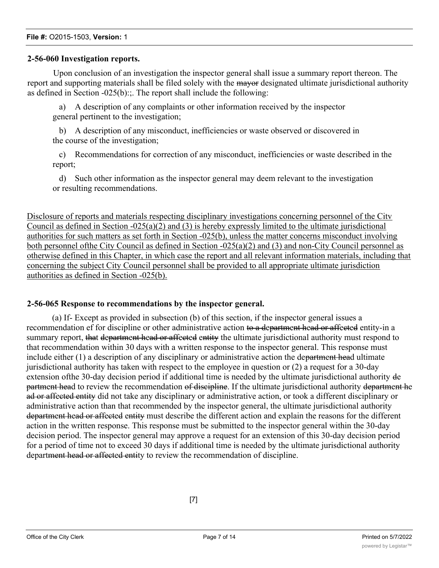#### **2-56-060 Investigation reports.**

Upon conclusion of an investigation the inspector general shall issue a summary report thereon. The report and supporting materials shall be filed solely with the mayor designated ultimate jurisdictional authority as defined in Section -025(b):;. The report shall include the following:

a) A description of any complaints or other information received by the inspector general pertinent to the investigation;

b) A description of any misconduct, inefficiencies or waste observed or discovered in the course of the investigation;

c) Recommendations for correction of any misconduct, inefficiencies or waste described in the report;

d) Such other information as the inspector general may deem relevant to the investigation or resulting recommendations.

Disclosure of reports and materials respecting disciplinary investigations concerning personnel of the Citv Council as defined in Section -025(a)(2) and (3) is hereby expressly limited to the ultimate jurisdictional authorities for such matters as set forth in Section -025(b), unless the matter concerns misconduct involving both personnel ofthe City Council as defined in Section -025(a)(2) and (3) and non-City Council personnel as otherwise defined in this Chapter, in which case the report and all relevant information materials, including that concerning the subject City Council personnel shall be provided to all appropriate ultimate jurisdiction authorities as defined in Section -025(b).

#### **2-56-065 Response to recommendations by the inspector general.**

(a) If- Except as provided in subsection (b) of this section, if the inspector general issues a recommendation ef for discipline or other administrative action to a department head or affected entity-in a summary report, that department head or affected entity the ultimate jurisdictional authority must respond to that recommendation within 30 days with a written response to the inspector general. This response must include either (1) a description of any disciplinary or administrative action the department head ultimate jurisdictional authority has taken with respect to the employee in question or (2) a request for a 30-day extension ofthe 30-day decision period if additional time is needed by the ultimate jurisdictional authority de partment head to review the recommendation of discipline. If the ultimate jurisdictional authority department he ad or affected entity did not take any disciplinary or administrative action, or took a different disciplinary or administrative action than that recommended by the inspector general, the ultimate jurisdictional authority department head or affected entity must describe the different action and explain the reasons for the different action in the written response. This response must be submitted to the inspector general within the 30-day decision period. The inspector general may approve a request for an extension of this 30-day decision period for a period of time not to exceed 30 days if additional time is needed by the ultimate jurisdictional authority department head or affected entity to review the recommendation of discipline.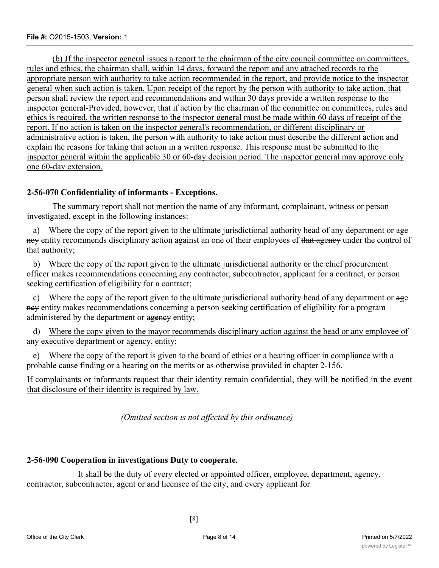(b) Jf the inspector general issues a report to the chairman of the citv council committee on committees, rules and ethics, the chairman shall, within 14 days, forward the report and anv attached records to the appropriate person with authority to take action recommended in the report, and provide notice to the inspector general when such action is taken. Upon receipt of the report by the person with authority to take action, that person shall review the report and recommendations and within 30 days provide a written response to the inspector general-Provided, however, that if action by the chairman of the committee on committees, rules and ethics is required, the written response to the inspector general must be made within 60 days of receipt of the report. If no action is taken on the inspector general's recommendation, or different disciplinary or administrative action is taken, the person with authority to take action must describe the different action and explain the reasons for taking that action in a written response. This response must be submitted to the inspector general within the applicable 30 or 60-day decision period. The inspector general may approve only one 60-day extension.

#### **2-56-070 Confidentiality of informants - Exceptions.**

The summary report shall not mention the name of any informant, complainant, witness or person investigated, except in the following instances:

a) Where the copy of the report given to the ultimate jurisdictional authority head of any department or age ney entity recommends disciplinary action against an one of their employees ef that ageney under the control of that authority;

b) Where the copy of the report given to the ultimate jurisdictional authority or the chief procurement officer makes recommendations concerning any contractor, subcontractor, applicant for a contract, or person seeking certification of eligibility for a contract;

c) Where the copy of the report given to the ultimate jurisdictional authority head of any department or age ney entity makes recommendations concerning a person seeking certification of eligibility for a program administered by the department or agency entity;

d) Where the copy given to the mayor recommends disciplinary action against the head or any employee of any executive department or agency, entity;

e) Where the copy of the report is given to the board of ethics or a hearing officer in compliance with a probable cause finding or a hearing on the merits or as otherwise provided in chapter 2-156.

If complainants or informants request that their identity remain confidential, they will be notified in the event that disclosure of their identity is required by law.

*(Omitted section is not affected by this ordinance)*

# **2-56-090 Cooperation in investigations Duty to cooperate.**

It shall be the duty of every elected or appointed officer, employee, department, agency, contractor, subcontractor, agent or and licensee of the city, and every applicant for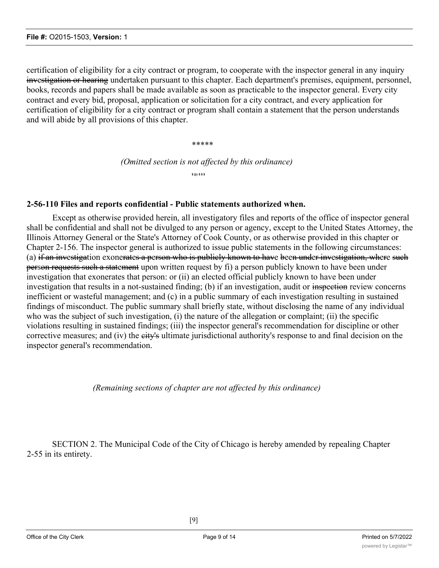certification of eligibility for a city contract or program, to cooperate with the inspector general in any inquiry investigation or hearing undertaken pursuant to this chapter. Each department's premises, equipment, personnel, books, records and papers shall be made available as soon as practicable to the inspector general. Every city contract and every bid, proposal, application or solicitation for a city contract, and every application for certification of eligibility for a city contract or program shall contain a statement that the person understands and will abide by all provisions of this chapter.

\*\*\*\*\*

*(Omitted section is not affected by this ordinance)*

**\$ ]{c \$ \$ \$**

#### **2-56-110 Files and reports confidential - Public statements authorized when.**

Except as otherwise provided herein, all investigatory files and reports of the office of inspector general shall be confidential and shall not be divulged to any person or agency, except to the United States Attorney, the Illinois Attorney General or the State's Attorney of Cook County, or as otherwise provided in this chapter or Chapter 2-156. The inspector general is authorized to issue public statements in the following circumstances: (a) if an investigation exonerates a person who is publicly known to have been under investigation, where such person requests such a statement upon written request by fi) a person publicly known to have been under investigation that exonerates that person: or (ii) an elected official publicly known to have been under investigation that results in a not-sustained finding; (b) if an investigation, audit or inspection review concerns inefficient or wasteful management; and (c) in a public summary of each investigation resulting in sustained findings of misconduct. The public summary shall briefly state, without disclosing the name of any individual who was the subject of such investigation, (i) the nature of the allegation or complaint; (ii) the specific violations resulting in sustained findings; (iii) the inspector general's recommendation for discipline or other corrective measures; and (iv) the eity's ultimate jurisdictional authority's response to and final decision on the inspector general's recommendation.

*(Remaining sections of chapter are not affected by this ordinance)*

SECTION 2. The Municipal Code of the City of Chicago is hereby amended by repealing Chapter 2-55 in its entirety.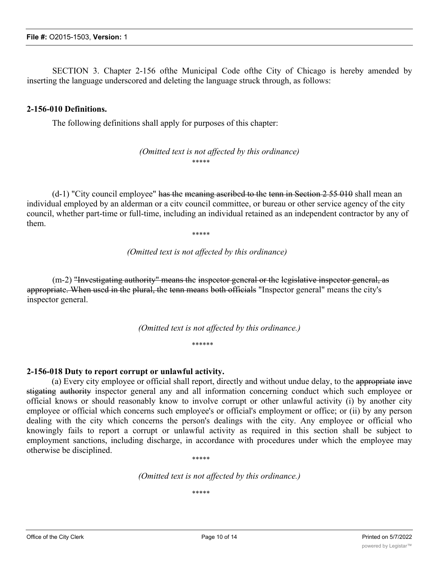SECTION 3. Chapter 2-156 ofthe Municipal Code ofthe City of Chicago is hereby amended by inserting the language underscored and deleting the language struck through, as follows:

#### **2-156-010 Definitions.**

The following definitions shall apply for purposes of this chapter:

*(Omitted text is not affected by this ordinance)* \*\*\*\*\*

(d-1) "City council employee" has the meaning ascribed to the tenn in Section 2 55 010 shall mean an individual employed by an alderman or a citv council committee, or bureau or other service agency of the city council, whether part-time or full-time, including an individual retained as an independent contractor by any of them.

\*\*\*\*\*

*(Omitted text is not affected by this ordinance)*

(m-2) "Investigating authority" means the inspector general or the legislative inspector general, as appropriate. When used in the plural, the tenn means both officials "Inspector general" means the city's inspector general.

*(Omitted text is not affected by this ordinance.)*

\*\*\*\*\*\*

#### **2-156-018 Duty to report corrupt or unlawful activity.**

(a) Every city employee or official shall report, directly and without undue delay, to the appropriate inve stigating authority inspector general any and all information concerning conduct which such employee or official knows or should reasonably know to involve corrupt or other unlawful activity (i) by another city employee or official which concerns such employee's or official's employment or office; or (ii) by any person dealing with the city which concerns the person's dealings with the city. Any employee or official who knowingly fails to report a corrupt or unlawful activity as required in this section shall be subject to employment sanctions, including discharge, in accordance with procedures under which the employee may otherwise be disciplined.

\*\*\*\*\*

*(Omitted text is not affected by this ordinance.)*

\*\*\*\*\*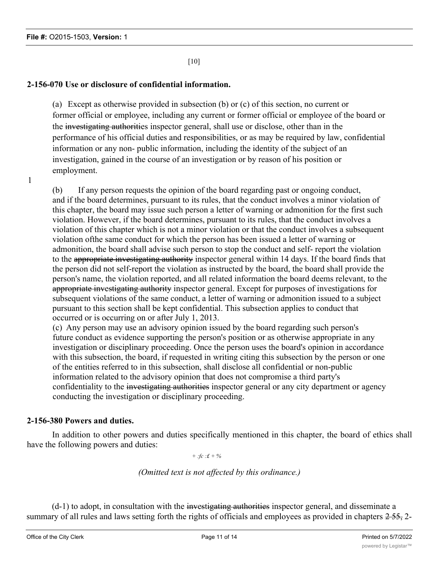[10]

# **2-156-070 Use or disclosure of confidential information.**

(a) Except as otherwise provided in subsection (b) or (c) of this section, no current or former official or employee, including any current or former official or employee of the board or the investigating authorities inspector general, shall use or disclose, other than in the performance of his official duties and responsibilities, or as may be required by law, confidential information or any non- public information, including the identity of the subject of an investigation, gained in the course of an investigation or by reason of his position or employment.

1

(b) If any person requests the opinion of the board regarding past or ongoing conduct, and if the board determines, pursuant to its rules, that the conduct involves a minor violation of this chapter, the board may issue such person a letter of warning or admonition for the first such violation. However, if the board determines, pursuant to its rules, that the conduct involves a violation of this chapter which is not a minor violation or that the conduct involves a subsequent violation ofthe same conduct for which the person has been issued a letter of warning or admonition, the board shall advise such person to stop the conduct and self- report the violation to the appropriate investigating authority inspector general within 14 days. If the board finds that the person did not self-report the violation as instructed by the board, the board shall provide the person's name, the violation reported, and all related information the board deems relevant, to the appropriate investigating authority inspector general. Except for purposes of investigations for subsequent violations of the same conduct, a letter of warning or admonition issued to a subject pursuant to this section shall be kept confidential. This subsection applies to conduct that occurred or is occurring on or after July 1, 2013.

(c) Any person may use an advisory opinion issued by the board regarding such person's future conduct as evidence supporting the person's position or as otherwise appropriate in any investigation or disciplinary proceeding. Once the person uses the board's opinion in accordance with this subsection, the board, if requested in writing citing this subsection by the person or one of the entities referred to in this subsection, shall disclose all confidential or non-public information related to the advisory opinion that does not compromise a third party's confidentiality to the investigating authorities inspector general or any city department or agency conducting the investigation or disciplinary proceeding.

# **2-156-380 Powers and duties.**

In addition to other powers and duties specifically mentioned in this chapter, the board of ethics shall have the following powers and duties:

*+ :fc :£ + %*

*(Omitted text is not affected by this ordinance.)*

 $(d-1)$  to adopt, in consultation with the investigating authorities inspector general, and disseminate a summary of all rules and laws setting forth the rights of officials and employees as provided in chapters  $2-55$ , 2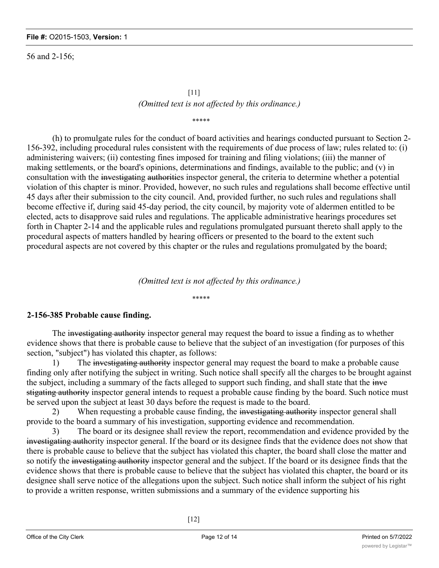56 and 2-156;

# [11] *(Omitted text is not affected by this ordinance.)*

\*\*\*\*\*

(h) to promulgate rules for the conduct of board activities and hearings conducted pursuant to Section 2- 156-392, including procedural rules consistent with the requirements of due process of law; rules related to: (i) administering waivers; (ii) contesting fines imposed for training and filing violations; (iii) the manner of making settlements, or the board's opinions, determinations and findings, available to the public; and (v) in consultation with the investigating authorities inspector general, the criteria to determine whether a potential violation of this chapter is minor. Provided, however, no such rules and regulations shall become effective until 45 days after their submission to the city council. And, provided further, no such rules and regulations shall become effective if, during said 45-day period, the city council, by majority vote of aldermen entitled to be elected, acts to disapprove said rules and regulations. The applicable administrative hearings procedures set forth in Chapter 2-14 and the applicable rules and regulations promulgated pursuant thereto shall apply to the procedural aspects of matters handled by hearing officers or presented to the board to the extent such procedural aspects are not covered by this chapter or the rules and regulations promulgated by the board;

*(Omitted text is not affected by this ordinance.)*

#### \*\*\*\*\*

# **2-156-385 Probable cause finding.**

The investigating authority inspector general may request the board to issue a finding as to whether evidence shows that there is probable cause to believe that the subject of an investigation (for purposes of this section, "subject") has violated this chapter, as follows:

1) The investigating authority inspector general may request the board to make a probable cause finding only after notifying the subject in writing. Such notice shall specify all the charges to be brought against the subject, including a summary of the facts alleged to support such finding, and shall state that the inve stigating authority inspector general intends to request a probable cause finding by the board. Such notice must be served upon the subject at least 30 days before the request is made to the board.

2) When requesting a probable cause finding, the investigating authority inspector general shall provide to the board a summary of his investigation, supporting evidence and recommendation.

3) The board or its designee shall review the report, recommendation and evidence provided by the investigating authority inspector general. If the board or its designee finds that the evidence does not show that there is probable cause to believe that the subject has violated this chapter, the board shall close the matter and so notify the investigating authority inspector general and the subject. If the board or its designee finds that the evidence shows that there is probable cause to believe that the subject has violated this chapter, the board or its designee shall serve notice of the allegations upon the subject. Such notice shall inform the subject of his right to provide a written response, written submissions and a summary of the evidence supporting his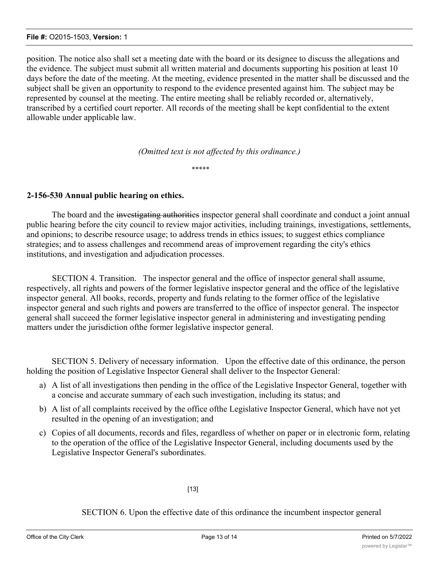#### **File #:** O2015-1503, **Version:** 1

position. The notice also shall set a meeting date with the board or its designee to discuss the allegations and the evidence. The subject must submit all written material and documents supporting his position at least 10 days before the date of the meeting. At the meeting, evidence presented in the matter shall be discussed and the subject shall be given an opportunity to respond to the evidence presented against him. The subject may be represented by counsel at the meeting. The entire meeting shall be reliably recorded or, alternatively, transcribed by a certified court reporter. All records of the meeting shall be kept confidential to the extent allowable under applicable law.

*(Omitted text is not affected by this ordinance.)*

\*\*\*\*\*

#### **2-156-530 Annual public hearing on ethics.**

The board and the investigating authorities inspector general shall coordinate and conduct a joint annual public hearing before the city council to review major activities, including trainings, investigations, settlements, and opinions; to describe resource usage; to address trends in ethics issues; to suggest ethics compliance strategies; and to assess challenges and recommend areas of improvement regarding the city's ethics institutions, and investigation and adjudication processes.

SECTION 4. Transition. The inspector general and the office of inspector general shall assume, respectively, all rights and powers of the former legislative inspector general and the office of the legislative inspector general. All books, records, property and funds relating to the former office of the legislative inspector general and such rights and powers are transferred to the office of inspector general. The inspector general shall succeed the former legislative inspector general in administering and investigating pending matters under the jurisdiction ofthe former legislative inspector general.

SECTION 5. Delivery of necessary information. Upon the effective date of this ordinance, the person holding the position of Legislative Inspector General shall deliver to the Inspector General:

- a) A list of all investigations then pending in the office of the Legislative Inspector General, together with a concise and accurate summary of each such investigation, including its status; and
- b) A list of all complaints received by the office ofthe Legislative Inspector General, which have not yet resulted in the opening of an investigation; and
- c) Copies of all documents, records and files, regardless of whether on paper or in electronic form, relating to the operation of the office of the Legislative Inspector General, including documents used by the Legislative Inspector General's subordinates.

[13]

SECTION 6. Upon the effective date of this ordinance the incumbent inspector general